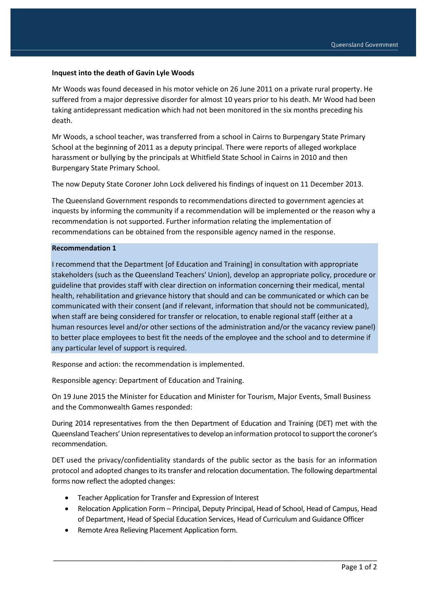## **Inquest into the death of Gavin Lyle Woods**

Mr Woods was found deceased in his motor vehicle on 26 June 2011 on a private rural property. He suffered from a major depressive disorder for almost 10 years prior to his death. Mr Wood had been taking antidepressant medication which had not been monitored in the six months preceding his death.

Mr Woods, a school teacher, was transferred from a school in Cairns to Burpengary State Primary School at the beginning of 2011 as a deputy principal. There were reports of alleged workplace harassment or bullying by the principals at Whitfield State School in Cairns in 2010 and then Burpengary State Primary School.

The now Deputy State Coroner John Lock delivered his findings of inquest on 11 December 2013.

The Queensland Government responds to recommendations directed to government agencies at inquests by informing the community if a recommendation will be implemented or the reason why a recommendation is not supported. Further information relating the implementation of recommendations can be obtained from the responsible agency named in the response.

## **Recommendation 1**

I recommend that the Department [of Education and Training] in consultation with appropriate stakeholders (such as the Queensland Teachers' Union), develop an appropriate policy, procedure or guideline that provides staff with clear direction on information concerning their medical, mental health, rehabilitation and grievance history that should and can be communicated or which can be communicated with their consent (and if relevant, information that should not be communicated), when staff are being considered for transfer or relocation, to enable regional staff (either at a human resources level and/or other sections of the administration and/or the vacancy review panel) to better place employees to best fit the needs of the employee and the school and to determine if any particular level of support is required.

Response and action: the recommendation is implemented.

Responsible agency: Department of Education and Training.

On 19 June 2015 the Minister for Education and Minister for Tourism, Major Events, Small Business and the Commonwealth Games responded:

During 2014 representatives from the then Department of Education and Training (DET) met with the Queensland Teachers' Union representatives to develop an information protocol to support the coroner's recommendation.

DET used the privacy/confidentiality standards of the public sector as the basis for an information protocol and adopted changes to its transfer and relocation documentation. The following departmental forms now reflect the adopted changes:

- Teacher Application for Transfer and Expression of Interest
- Relocation Application Form Principal, Deputy Principal, Head of School, Head of Campus, Head of Department, Head of Special Education Services, Head of Curriculum and Guidance Officer

\_\_\_\_\_\_\_\_\_\_\_\_\_\_\_\_\_\_\_\_\_\_\_\_\_\_\_\_\_\_\_\_\_\_\_\_\_\_\_\_\_\_\_\_\_\_\_\_\_\_\_\_\_\_\_\_\_\_\_\_\_\_\_\_\_\_\_\_\_\_\_\_\_\_\_\_\_\_\_\_\_\_

Remote Area Relieving Placement Application form.